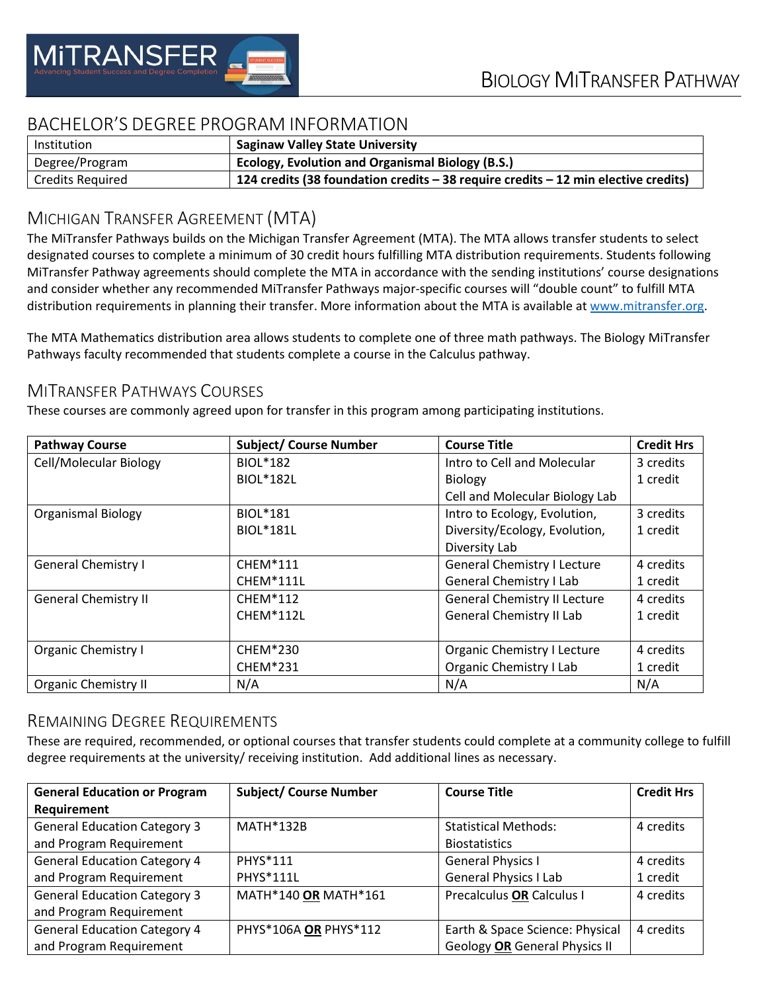

# BACHELOR'S DEGREE PROGRAM INFORMATION

| Institution             | <b>Saginaw Valley State University</b>                                                 |
|-------------------------|----------------------------------------------------------------------------------------|
| Degree/Program          | <b>Ecology, Evolution and Organismal Biology (B.S.)</b>                                |
| <b>Credits Required</b> | 124 credits (38 foundation credits $-$ 38 require credits $-$ 12 min elective credits) |

# MICHIGAN TRANSFER AGREEMENT (MTA)

The MiTransfer Pathways builds on the Michigan Transfer Agreement (MTA). The MTA allows transfer students to select designated courses to complete a minimum of 30 credit hours fulfilling MTA distribution requirements. Students following MiTransfer Pathway agreements should complete the MTA in accordance with the sending institutions' course designations and consider whether any recommended MiTransfer Pathways major-specific courses will "double count" to fulfill MTA distribution requirements in planning their transfer. More information about the MTA is available at [www.mitransfer.org.](http://www.mitransfer.org/)

The MTA Mathematics distribution area allows students to complete one of three math pathways. The Biology MiTransfer Pathways faculty recommended that students complete a course in the Calculus pathway.

### MITRANSFER PATHWAYS COURSES

These courses are commonly agreed upon for transfer in this program among participating institutions.

| <b>Pathway Course</b>         | <b>Subject/ Course Number</b> | <b>Course Title</b>                 | <b>Credit Hrs</b> |
|-------------------------------|-------------------------------|-------------------------------------|-------------------|
| <b>Cell/Molecular Biology</b> | <b>BIOL*182</b>               | Intro to Cell and Molecular         | 3 credits         |
|                               | <b>BIOL*182L</b>              | <b>Biology</b>                      | 1 credit          |
|                               |                               | Cell and Molecular Biology Lab      |                   |
| <b>Organismal Biology</b>     | <b>BIOL*181</b>               | Intro to Ecology, Evolution,        | 3 credits         |
|                               | <b>BIOL*181L</b>              | Diversity/Ecology, Evolution,       | 1 credit          |
|                               |                               | Diversity Lab                       |                   |
| <b>General Chemistry I</b>    | <b>CHEM*111</b>               | <b>General Chemistry I Lecture</b>  | 4 credits         |
|                               | <b>CHEM*111L</b>              | <b>General Chemistry I Lab</b>      | 1 credit          |
| <b>General Chemistry II</b>   | <b>CHEM*112</b>               | <b>General Chemistry II Lecture</b> | 4 credits         |
|                               | CHEM*112L                     | <b>General Chemistry II Lab</b>     | 1 credit          |
|                               |                               |                                     |                   |
| <b>Organic Chemistry I</b>    | <b>CHEM*230</b>               | <b>Organic Chemistry I Lecture</b>  | 4 credits         |
|                               | <b>CHEM*231</b>               | Organic Chemistry I Lab             | 1 credit          |
| <b>Organic Chemistry II</b>   | N/A                           | N/A                                 | N/A               |

#### REMAINING DEGREE REQUIREMENTS

These are required, recommended, or optional courses that transfer students could complete at a community college to fulfill degree requirements at the university/ receiving institution. Add additional lines as necessary.

| <b>General Education or Program</b> | <b>Subject/ Course Number</b> | <b>Course Title</b>                  | <b>Credit Hrs</b> |
|-------------------------------------|-------------------------------|--------------------------------------|-------------------|
| Requirement                         |                               |                                      |                   |
| <b>General Education Category 3</b> | <b>MATH*132B</b>              | <b>Statistical Methods:</b>          | 4 credits         |
| and Program Requirement             |                               | <b>Biostatistics</b>                 |                   |
| <b>General Education Category 4</b> | PHYS*111                      | <b>General Physics I</b>             | 4 credits         |
| and Program Requirement             | PHYS*111L                     | <b>General Physics I Lab</b>         | 1 credit          |
| <b>General Education Category 3</b> | MATH*140 OR MATH*161          | Precalculus OR Calculus I            | 4 credits         |
| and Program Requirement             |                               |                                      |                   |
| <b>General Education Category 4</b> | PHYS*106A OR PHYS*112         | Earth & Space Science: Physical      | 4 credits         |
| and Program Requirement             |                               | <b>Geology OR General Physics II</b> |                   |